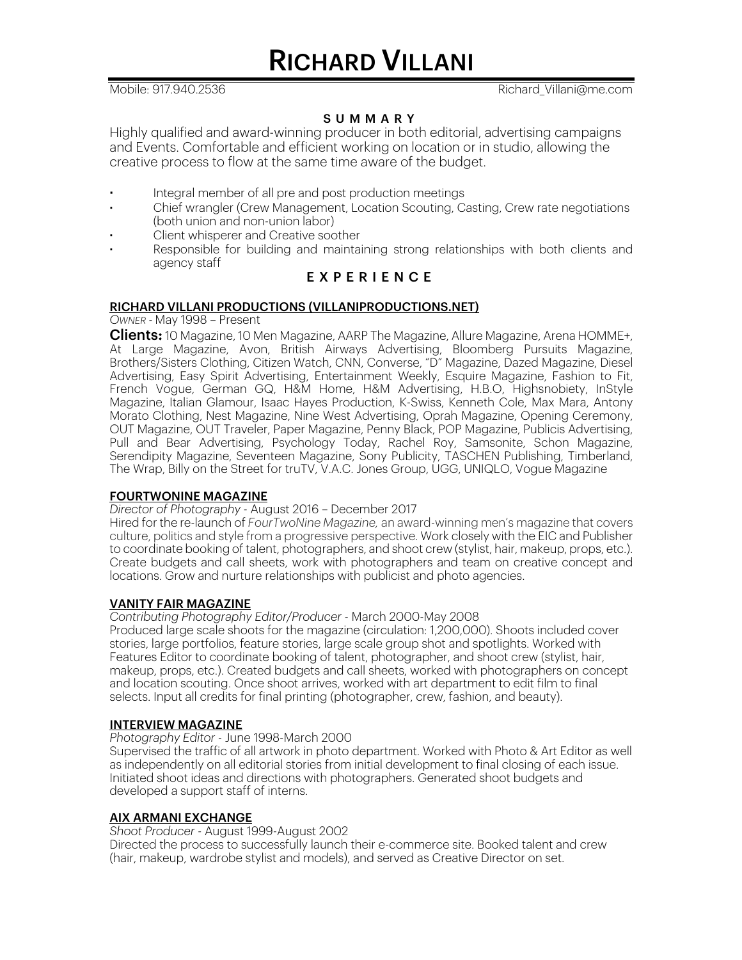RICHARD VILLANI

Mobile: 917.940.2536 Richard Villani@me.com

# SUMMARY

Highly qualified and award-winning producer in both editorial, advertising campaigns and Events. Comfortable and efficient working on location or in studio, allowing the creative process to flow at the same time aware of the budget.

- **·** Integral member of all pre and post production meetings
- **·** Chief wrangler (Crew Management, Location Scouting, Casting, Crew rate negotiations (both union and non-union labor)
- **·** Client whisperer and Creative soother
- **·** Responsible for building and maintaining strong relationships with both clients and agency staff

# EXPERIENCE

# RICHARD VILLANI PRODUCTIONS (VILLANIPRODUCTIONS.NET)

*OWNER -* May 1998 – Present

**Clients:** 10 Magazine, 10 Men Magazine, AARP The Magazine, Allure Magazine, Arena HOMME+, At Large Magazine, Avon, British Airways Advertising, Bloomberg Pursuits Magazine, Brothers/Sisters Clothing, Citizen Watch, CNN, Converse, "D" Magazine, Dazed Magazine, Diesel Advertising, Easy Spirit Advertising, Entertainment Weekly, Esquire Magazine, Fashion to Fit, French Vogue, German GQ, H&M Home, H&M Advertising, H.B.O, Highsnobiety, InStyle Magazine, Italian Glamour, Isaac Hayes Production, K-Swiss, Kenneth Cole, Max Mara, Antony Morato Clothing, Nest Magazine, Nine West Advertising, Oprah Magazine, Opening Ceremony, OUT Magazine, OUT Traveler, Paper Magazine, Penny Black, POP Magazine, Publicis Advertising, Pull and Bear Advertising, Psychology Today, Rachel Roy, Samsonite, Schon Magazine, Serendipity Magazine, Seventeen Magazine, Sony Publicity, TASCHEN Publishing, Timberland, The Wrap, Billy on the Street for truTV, V.A.C. Jones Group, UGG, UNIQLO, Vogue Magazine

## FOURTWONINE MAGAZINE

# *Director of Photography -* August 2016 – December 2017

Hired for the re-launch of *FourTwoNine Magazine,* an award-winning men's magazine that covers culture, politics and style from a progressive perspective. Work closely with the EIC and Publisher to coordinate booking of talent, photographers, and shoot crew (stylist, hair, makeup, props, etc.). Create budgets and call sheets, work with photographers and team on creative concept and locations. Grow and nurture relationships with publicist and photo agencies.

## VANITY FAIR MAGAZINE

*Contributing Photography Editor/Producer -* March 2000-May 2008

Produced large scale shoots for the magazine (circulation: 1,200,000). Shoots included cover stories, large portfolios, feature stories, large scale group shot and spotlights. Worked with Features Editor to coordinate booking of talent, photographer, and shoot crew (stylist, hair, makeup, props, etc.). Created budgets and call sheets, worked with photographers on concept and location scouting. Once shoot arrives, worked with art department to edit film to final selects. Input all credits for final printing (photographer, crew, fashion, and beauty).

## INTERVIEW MAGAZINE

*Photography Editor -* June 1998-March 2000

Supervised the traffic of all artwork in photo department. Worked with Photo & Art Editor as well as independently on all editorial stories from initial development to final closing of each issue. Initiated shoot ideas and directions with photographers. Generated shoot budgets and developed a support staff of interns.

## AIX ARMANI EXCHANGE

*Shoot Producer -* August 1999-August 2002

Directed the process to successfully launch their e-commerce site. Booked talent and crew (hair, makeup, wardrobe stylist and models), and served as Creative Director on set.